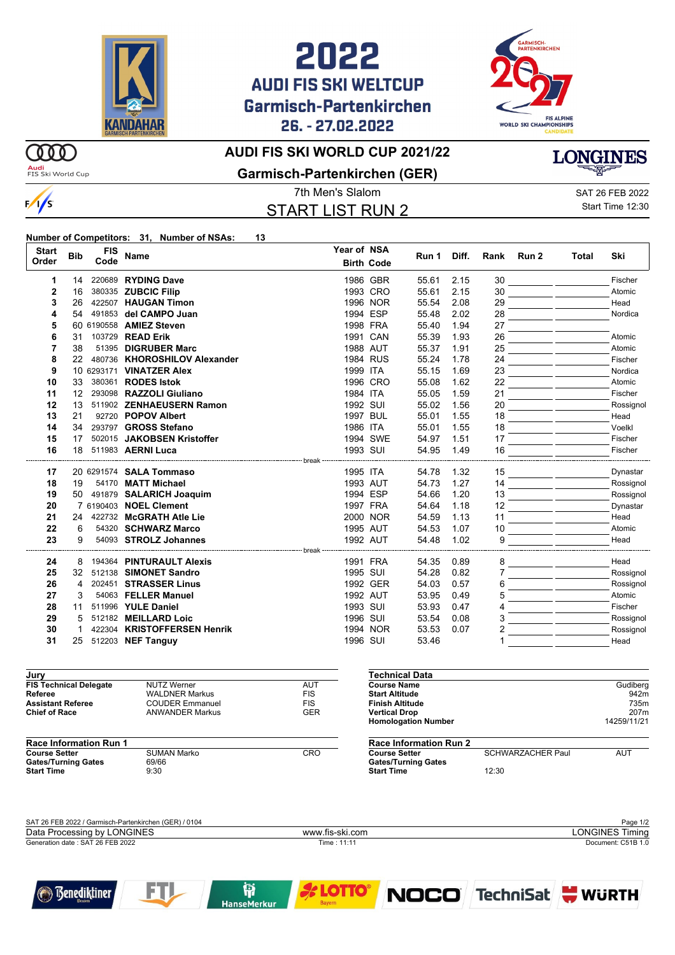

## 2022 **AUDI FIS SKI WELTCUP Garmisch-Partenkirchen** 26. - 27.02.2022



### **AUDI FIS SKI WORLD CUP 2021/22**

 $\omega$ **Audi**<br>FIS Ski World Cup

 $\frac{1}{s}$ 



#### **Garmisch-Partenkirchen (GER)**

# START LIST RUN 2

7th Men's Slalom SAT 26 FEB 2022 Start Time 12:30

#### **Number of Competitors: 31, Number of NSAs: 13**

| <b>Start</b><br>Order | <b>Bib</b> | <b>FIS</b><br>Code | <b>Name</b>                               | Year of NSA | <b>Birth Code</b> | Run 1          | Diff. | Rank | Run 2 | Total | Ski               |
|-----------------------|------------|--------------------|-------------------------------------------|-------------|-------------------|----------------|-------|------|-------|-------|-------------------|
| 1                     | 14         |                    | 220689 RYDING Dave                        |             | 1986 GBR          | 55.61          | 2.15  | 30   |       |       | Fischer           |
| $\mathbf{2}$          | 16         |                    | 380335 ZUBCIC Filip                       |             | 1993 CRO          | 55.61          | 2.15  | 30   |       |       | Atomic            |
| 3                     | 26         |                    | 422507 HAUGAN Timon                       |             | 1996 NOR          | 55.54          | 2.08  | 29   |       |       | Head              |
| 4                     | 54         |                    | 491853 del CAMPO Juan                     |             | 1994 ESP          | 55.48          | 2.02  | 28   |       |       | Nordica           |
| 5                     | 60         |                    | 6190558 AMIEZ Steven                      |             | 1998 FRA          | 55.40          | 1.94  | 27   |       |       |                   |
| 6                     | 31         |                    | 103729 READ Erik                          |             | 1991 CAN          | 55.39          | 1.93  | 26   |       |       | Atomic            |
| 7                     | 38         |                    | 51395 DIGRUBER Marc                       |             | 1988 AUT          | 55.37          | 1.91  | 25   |       |       | Atomic            |
| 8                     | 22         |                    | 480736 KHOROSHILOV Alexander              |             | 1984 RUS          | 55.24          | 1.78  | 24   |       |       | Fischer           |
| 9                     |            |                    | 10 6293171 VINATZER Alex                  | 1999 ITA    |                   | 55.15          | 1.69  | 23   |       |       | Nordica           |
| 10                    | 33         | 380361             | <b>RODES Istok</b>                        |             | 1996 CRO          | 55.08          | 1.62  | 22   |       |       | Atomic            |
| 11                    | 12         |                    | 293098 RAZZOLI Giuliano                   | 1984 ITA    |                   | 55.05          | 1.59  | 21   |       |       | Fischer           |
| 12                    | 13         |                    | 511902 ZENHAEUSERN Ramon                  | 1992 SUI    |                   | 55.02          | 1.56  | 20   |       |       | Rossignol         |
| 13                    | 21         |                    | 92720 POPOV Albert                        |             | 1997 BUL          | 55.01          | 1.55  | 18   |       |       | Head              |
| 14                    | 34         |                    | 293797 GROSS Stefano                      | 1986 ITA    |                   | 55.01          | 1.55  | 18   |       |       | Voelkl            |
| 15                    | 17         |                    | 502015 JAKOBSEN Kristoffer                |             | 1994 SWE          | 54.97          | 1.51  | 17   |       |       | Fischer           |
| 16                    | 18         |                    | 511983 AERNI Luca                         |             | 1993 SUI          | 54.95          | 1.49  | 16   |       |       | Fischer           |
| 17                    |            |                    | 20 6291574 <b>SALA Tommaso</b>            | 1995 ITA    |                   | 54.78          | 1.32  | 15   |       |       | Dynastar          |
| 18                    | 19         |                    | 54170 MATT Michael                        |             | 1993 AUT          | 54.73          | 1.27  | 14   |       |       | Rossignol         |
| 19                    | 50         |                    | 491879 SALARICH Joaquim                   |             | 1994 ESP          | 54.66          | 1.20  | 13   |       |       | Rossignol         |
| 20                    |            |                    | 7 6190403 NOEL Clement                    |             | 1997 FRA          | 54.64          | 1.18  | 12   |       |       | Dynastar          |
| 21                    | 24         |                    | 422732 McGRATH Atle Lie                   |             | 2000 NOR          | 54.59          | 1.13  | 11   |       |       | Head              |
| 22                    | 6          |                    | 54320 SCHWARZ Marco                       |             | 1995 AUT          | 54.53          | 1.07  | 10   |       |       | Atomic            |
| 23                    | 9          |                    | 54093 STROLZ Johannes                     |             | 1992 AUT          | 54.48          | 1.02  | 9    |       |       | Head              |
| 24                    |            |                    | 194364 PINTURAULT Alexis                  | · break     |                   |                |       |      |       |       | Head              |
| 25                    | 8<br>32    |                    | 512138 SIMONET Sandro                     | 1995 SUI    | 1991 FRA          | 54.35          | 0.89  | 8    |       |       |                   |
| 26                    | 4          | 202451             | <b>STRASSER Linus</b>                     |             | 1992 GER          | 54.28<br>54.03 | 0.82  | 6    |       |       | Rossignol         |
| 27                    | 3          |                    |                                           |             |                   |                | 0.57  |      |       |       | Rossignol         |
| 28                    | 11         |                    | 54063 FELLER Manuel<br>511996 YULE Daniel | 1993 SUI    | 1992 AUT          | 53.95<br>53.93 | 0.49  |      |       |       | Atomic<br>Fischer |
|                       |            |                    | 512182 MEILLARD Loic                      | 1996 SUI    |                   |                | 0.47  |      |       |       |                   |
| 29<br>30              | 5<br>1     |                    | 422304 KRISTOFFERSEN Henrik               |             | 1994 NOR          | 53.54          | 0.08  | 3    |       |       | Rossignol         |
|                       |            |                    |                                           |             |                   | 53.53          | 0.07  |      |       |       | Rossignol         |
| 31                    | 25         |                    | 512203 NEF Tanguy                         | 1996 SUI    |                   | 53.46          |       |      |       |       | Head              |

| Jury                          |                        |            |
|-------------------------------|------------------------|------------|
| <b>FIS Technical Delegate</b> | <b>NUTZ Werner</b>     | <b>AUT</b> |
| Referee                       | <b>WALDNER Markus</b>  | <b>FIS</b> |
| <b>Assistant Referee</b>      | <b>COUDER Emmanuel</b> | <b>FIS</b> |
| <b>Chief of Race</b>          | <b>ANWANDER Markus</b> | <b>GFR</b> |

| <b>Race Information Run 1</b> |             |     |  |  |  |
|-------------------------------|-------------|-----|--|--|--|
| <b>Course Setter</b>          | SUMAN Marko | CRO |  |  |  |
| <b>Gates/Turning Gates</b>    | 69/66       |     |  |  |  |
| <b>Start Time</b>             | 9.30        |     |  |  |  |

| Technical Data                |                                        |             |
|-------------------------------|----------------------------------------|-------------|
| <b>Course Name</b>            |                                        | Gudiberg    |
| <b>Start Altitude</b>         |                                        | 942m        |
| Finish Altitude               |                                        | 735m        |
| <b>Vertical Drop</b>          |                                        | 207m        |
| <b>Homologation Number</b>    |                                        | 14259/11/21 |
| <b>Race Information Run 2</b> |                                        |             |
|                               | $0.01$ $0.11$ $0.71$ $0.1$ $1.0$ $0.1$ | 0.11T       |

**Course Setter** SCHWARZACHER Paul **AUT Gates/Turning Gates Start Time** 12:30